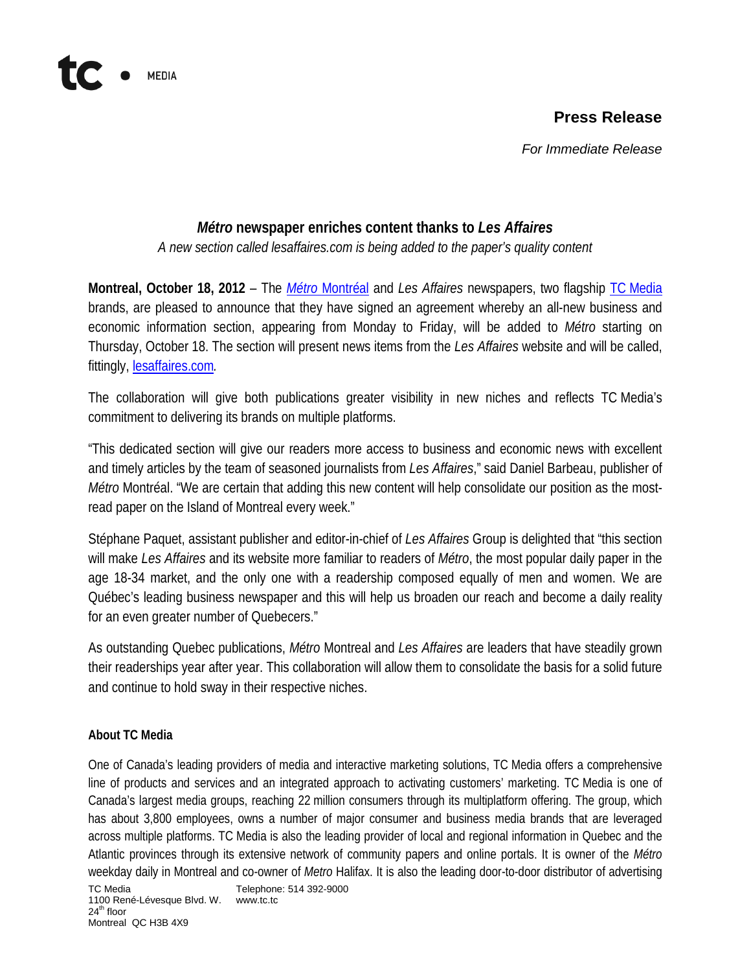## **Press Release**

*For Immediate Release*

## *Métro* **newspaper enriches content thanks to** *Les Affaires*

*A new section called lesaffaires.com is being added to the paper's quality content* 

**Montreal, October 18, 2012** – The *Métro* [Montréal](http://www.journalmetro.com/) and *Les Affaires* newspapers, two flagship TC [Media](http://www.tc.tc./) brands, are pleased to announce that they have signed an agreement whereby an all-new business and economic information section, appearing from Monday to Friday, will be added to *Métro* starting on Thursday, October 18. The section will present news items from the *Les Affaires* website and will be called, fittingly, [lesaffaires.com](http://www.lesaffaires.com/)*.*

The collaboration will give both publications greater visibility in new niches and reflects TC Media's commitment to delivering its brands on multiple platforms.

"This dedicated section will give our readers more access to business and economic news with excellent and timely articles by the team of seasoned journalists from *Les Affaires*," said Daniel Barbeau, publisher of *Métro* Montréal. "We are certain that adding this new content will help consolidate our position as the mostread paper on the Island of Montreal every week."

Stéphane Paquet, assistant publisher and editor-in-chief of *Les Affaires* Group is delighted that "this section will make *Les Affaires* and its website more familiar to readers of *Métro*, the most popular daily paper in the age 18-34 market, and the only one with a readership composed equally of men and women. We are Québec's leading business newspaper and this will help us broaden our reach and become a daily reality for an even greater number of Quebecers."

As outstanding Quebec publications, *Métro* Montreal and *Les Affaires* are leaders that have steadily grown their readerships year after year. This collaboration will allow them to consolidate the basis for a solid future and continue to hold sway in their respective niches.

## **About TC Media**

**MEDIA** 

TC Media Telephone: 514 392-9000 1100 René-Lévesque Blvd. W. www.tc.tc One of Canada's leading providers of media and interactive marketing solutions, TC Media offers a comprehensive line of products and services and an integrated approach to activating customers' marketing. TC Media is one of Canada's largest media groups, reaching 22 million consumers through its multiplatform offering. The group, which has about 3,800 employees, owns a number of major consumer and business media brands that are leveraged across multiple platforms. TC Media is also the leading provider of local and regional information in Quebec and the Atlantic provinces through its extensive network of community papers and online portals. It is owner of the *Métro* weekday daily in Montreal and co-owner of *Metro* Halifax. It is also the leading door-to-door distributor of advertising